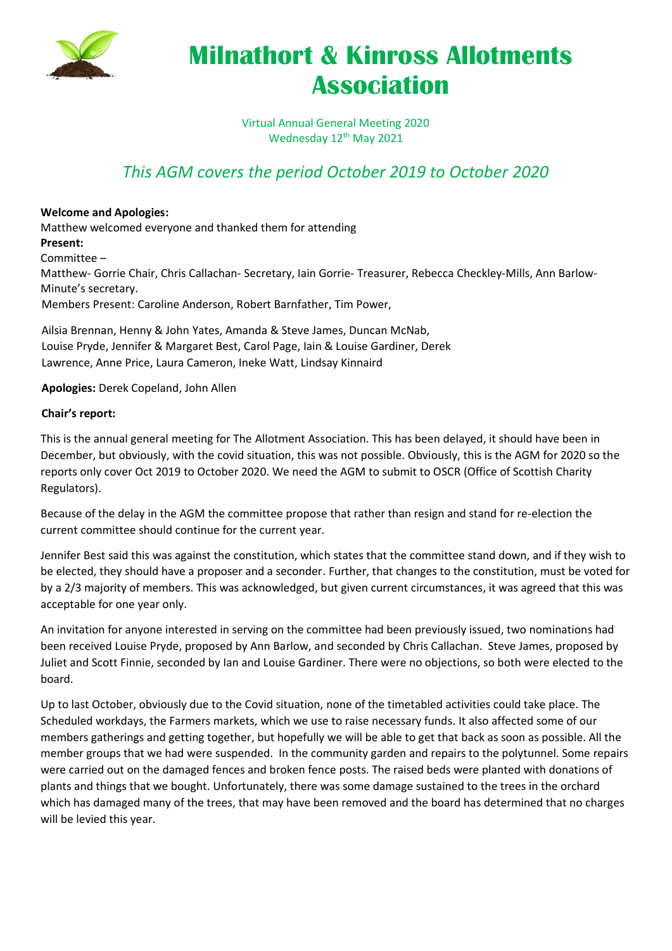

# **Milnathort & Kinross Allotments Association**

Virtual Annual General Meeting 2020 Wednesday 12<sup>th</sup> May 2021

### *This AGM covers the period October 2019 to October 2020*

#### **Welcome and Apologies:**

Matthew welcomed everyone and thanked them for attending **Present:**  Committee – Matthew- Gorrie Chair, Chris Callachan- Secretary, Iain Gorrie- Treasurer, Rebecca Checkley-Mills, Ann Barlow-Minute's secretary. Members Present: Caroline Anderson, Robert Barnfather, Tim Power,

Ailsia Brennan, Henny & John Yates, Amanda & Steve James, Duncan McNab, Louise Pryde, Jennifer & Margaret Best, Carol Page, Iain & Louise Gardiner, Derek Lawrence, Anne Price, Laura Cameron, Ineke Watt, Lindsay Kinnaird

#### **Apologies:** Derek Copeland, John Allen

#### **Chair's report:**

This is the annual general meeting for The Allotment Association. This has been delayed, it should have been in December, but obviously, with the covid situation, this was not possible. Obviously, this is the AGM for 2020 so the reports only cover Oct 2019 to October 2020. We need the AGM to submit to OSCR (Office of Scottish Charity Regulators).

Because of the delay in the AGM the committee propose that rather than resign and stand for re-election the current committee should continue for the current year.

Jennifer Best said this was against the constitution, which states that the committee stand down, and if they wish to be elected, they should have a proposer and a seconder. Further, that changes to the constitution, must be voted for by a 2/3 majority of members. This was acknowledged, but given current circumstances, it was agreed that this was acceptable for one year only.

An invitation for anyone interested in serving on the committee had been previously issued, two nominations had been received Louise Pryde, proposed by Ann Barlow, and seconded by Chris Callachan. Steve James, proposed by Juliet and Scott Finnie, seconded by Ian and Louise Gardiner. There were no objections, so both were elected to the board.

Up to last October, obviously due to the Covid situation, none of the timetabled activities could take place. The Scheduled workdays, the Farmers markets, which we use to raise necessary funds. It also affected some of our members gatherings and getting together, but hopefully we will be able to get that back as soon as possible. All the member groups that we had were suspended. In the community garden and repairs to the polytunnel. Some repairs were carried out on the damaged fences and broken fence posts. The raised beds were planted with donations of plants and things that we bought. Unfortunately, there was some damage sustained to the trees in the orchard which has damaged many of the trees, that may have been removed and the board has determined that no charges will be levied this year.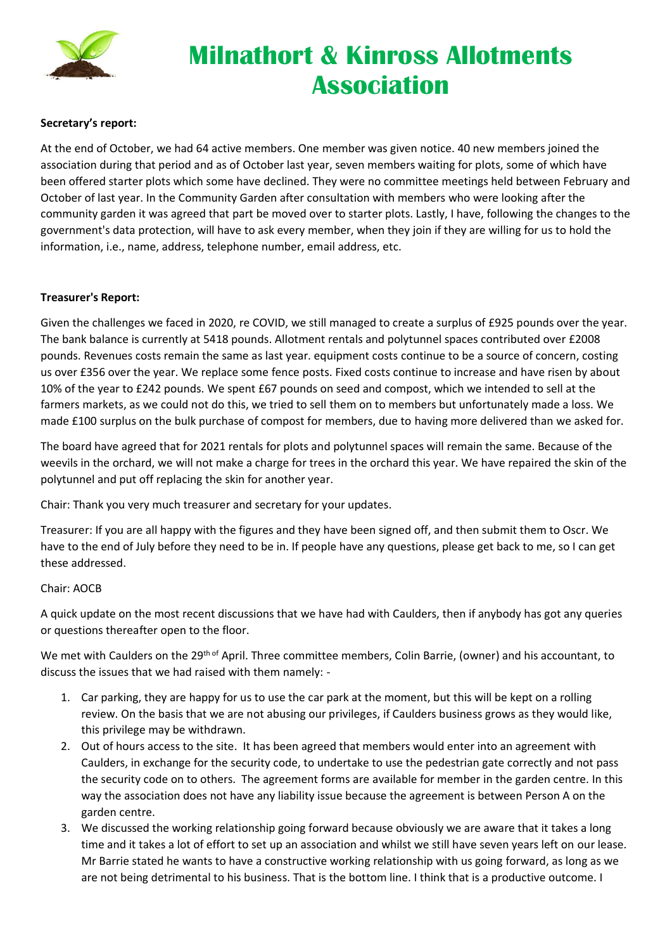

# **Milnathort & Kinross Allotments Association**

#### **Secretary's report:**

At the end of October, we had 64 active members. One member was given notice. 40 new members joined the association during that period and as of October last year, seven members waiting for plots, some of which have been offered starter plots which some have declined. They were no committee meetings held between February and October of last year. In the Community Garden after consultation with members who were looking after the community garden it was agreed that part be moved over to starter plots. Lastly, I have, following the changes to the government's data protection, will have to ask every member, when they join if they are willing for us to hold the information, i.e., name, address, telephone number, email address, etc.

#### **Treasurer's Report:**

Given the challenges we faced in 2020, re COVID, we still managed to create a surplus of £925 pounds over the year. The bank balance is currently at 5418 pounds. Allotment rentals and polytunnel spaces contributed over £2008 pounds. Revenues costs remain the same as last year. equipment costs continue to be a source of concern, costing us over £356 over the year. We replace some fence posts. Fixed costs continue to increase and have risen by about 10% of the year to £242 pounds. We spent £67 pounds on seed and compost, which we intended to sell at the farmers markets, as we could not do this, we tried to sell them on to members but unfortunately made a loss. We made £100 surplus on the bulk purchase of compost for members, due to having more delivered than we asked for.

The board have agreed that for 2021 rentals for plots and polytunnel spaces will remain the same. Because of the weevils in the orchard, we will not make a charge for trees in the orchard this year. We have repaired the skin of the polytunnel and put off replacing the skin for another year.

Chair: Thank you very much treasurer and secretary for your updates.

Treasurer: If you are all happy with the figures and they have been signed off, and then submit them to Oscr. We have to the end of July before they need to be in. If people have any questions, please get back to me, so I can get these addressed.

#### Chair: AOCB

A quick update on the most recent discussions that we have had with Caulders, then if anybody has got any queries or questions thereafter open to the floor.

We met with Caulders on the 29<sup>th of</sup> April. Three committee members, Colin Barrie, (owner) and his accountant, to discuss the issues that we had raised with them namely: -

- 1. Car parking, they are happy for us to use the car park at the moment, but this will be kept on a rolling review. On the basis that we are not abusing our privileges, if Caulders business grows as they would like, this privilege may be withdrawn.
- 2. Out of hours access to the site. It has been agreed that members would enter into an agreement with Caulders, in exchange for the security code, to undertake to use the pedestrian gate correctly and not pass the security code on to others. The agreement forms are available for member in the garden centre. In this way the association does not have any liability issue because the agreement is between Person A on the garden centre.
- 3. We discussed the working relationship going forward because obviously we are aware that it takes a long time and it takes a lot of effort to set up an association and whilst we still have seven years left on our lease. Mr Barrie stated he wants to have a constructive working relationship with us going forward, as long as we are not being detrimental to his business. That is the bottom line. I think that is a productive outcome. I